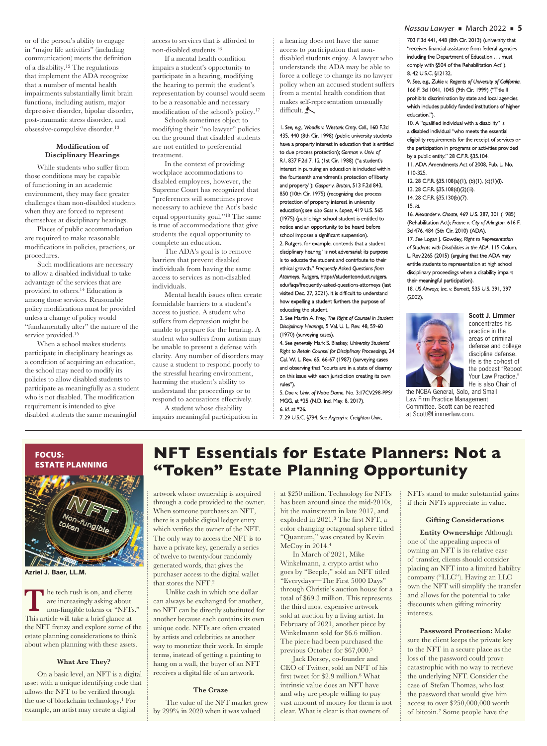or of the person's ability to engage in "major life activities" (including communication) meets the definition of a disability.12 The regulations that implement the ADA recognize that a number of mental health impairments substantially limit brain functions, including autism, major depressive disorder, bipolar disorder, post-traumatic stress disorder, and obsessive-compulsive disorder.13

# **Modification of Disciplinary Hearings**

 While students who suffer from those conditions may be capable of functioning in an academic environment, they may face greater challenges than non-disabled students when they are forced to represent themselves at disciplinary hearings.

 Places of public accommodation are required to make reasonable modifications in policies, practices, or procedures.

Such modifications are necessary to allow a disabled individual to take advantage of the services that are provided to others.14 Education is among those services. Reasonable policy modifications must be provided unless a change of policy would "fundamentally alter" the nature of the service provided.<sup>15</sup>

 When a school makes students participate in disciplinary hearings as a condition of acquiring an education, the school may need to modify its policies to allow disabled students to participate as meaningfully as a student who is not disabled. The modification requirement is intended to give disabled students the same meaningful

access to services that is afforded to non-disabled students.16

 If a mental health condition impairs a student's opportunity to participate in a hearing, modifying the hearing to permit the student's representation by counsel would seem to be a reasonable and necessary modification of the school's policy.<sup>17</sup>

 Schools sometimes object to modifying their "no lawyer" policies on the ground that disabled students are not entitled to preferential treatment.

 In the context of providing workplace accommodations to disabled employees, however, the Supreme Court has recognized that "preferences will sometimes prove necessary to achieve the Act's basic equal opportunity goal."18 The same is true of accommodations that give students the equal opportunity to complete an education.

 The ADA's goal is to remove barriers that prevent disabled individuals from having the same access to services as non-disabled individuals.

 Mental health issues often create formidable barriers to a student's access to justice. A student who suffers from depression might be unable to prepare for the hearing. A student who suffers from autism may be unable to present a defense with clarity. Any number of disorders may cause a student to respond poorly to the stressful hearing environment, harming the student's ability to understand the proceedings or to respond to accusations effectively. A student whose disability

impairs meaningful participation in

a hearing does not have the same access to participation that nondisabled students enjoy. A lawyer who understands the ADA may be able to force a college to change its no lawyer policy when an accused student suffers from a mental health condition that makes self-representation unusually difficult. $\blacktriangle$ 

1. See, e.g., Woodis v. Westark Cmty. Coll., 160 F.3d 435, 440 (8th Cir. 1998) (public university students have a property interest in education that is entitled to due process protection); Gorman v. Univ. of *R.I*., 837 F.2d 7, 12 (1st Cir. 1988) ("a student's , interest in pursuing an education is included within the fourteenth amendment's protection of liberty and property"); Gaspar v. Bruton, 513 F.2d 843, 850 (10th Cir. 1975) (recognizing due process protection of property interest in university education); see also Goss v. Lopez, 419 U.S. 565 (1975) (public high school student is entitled to 1975) notice and an opportunity to be heard before school imposes a significant suspension).

2. Rutgers, for example, contends that a student disciplinary hearing "is not adversarial; its purpose is to educate the student and contribute to their ethical growth." Frequently Asked Questions from Attorneys, Rutgers, https://studentconduct.rutgers. edu/faqs/frequently-asked-questions-attorneys (last visited Dec. 27, 2021). It is difficult to understand how expelling a student furthers the purpose of educating the student.

3. See Martin A. Frey, The Right of Counsel in Student *Disciplinary Hearings isciplinary* , 5 Val. U. L. Rev. 48, 59-60 (1970) (surveying cases).

4. See generally Mark S. Blaskey, University Students' *Right to Retain Counsel for Disciplinary Proceedings*, 24 Cal. W. L. Rev. 65, 66-67 (1987) (surveying cases and observing that "courts are in a state of disarray on this issue with each jurisdiction creating its own rules").

5. Doe v. Univ. of Notre Dame, No. 3:17CV298-PPS/ MGG, at \*25 (N.D. Ind. May. 8, 2017). 6. *Id.* at \*26.

7. 29 U.S.C. §794. See Argenyi v. Creighton Univ.,

*Nassau Lawyer* ■ March 2022 ■ **5**

703 F.3d 441, 448 (8th Cir. 2013) (university that "receives financial assistance from federal agencies including the Department of Education . . . must comply with §504 of the Rehabilitation Act"). 8. 42 U.S.C. §12132. .

9. See, e.g., Zukle v. Regents of University of California, 166 F. 3d 1041, 1045 (9th Cir. 1999) ("Title II 66 prohibits discrimination by state and local agencies, which includes publicly funded institutions of higher education.").

10. A "qualified individual with a disability" is a disabled individual "who meets the essential eligibility requirements for the receipt of services or the participation in programs or activities provided by a public entity."  $28$  C.F.R.  $\S 35.104$ .

11. ADA Amendments Act of 2008, Pub. L. No. 1. 110-325.

12. 28 C.F.R. §35.108(a)(1), (b)(1), (c)(1)(i). 2. 13. 28 C.F.R. §35.108(d)(2)(iii).

14. 28 C.F.R. §35.130(b)(7).

15. *Id.* 

16. *Alexander v. Choate lexander* , 469 U.S. 287, 301 (1985) (Rehabilitation Act); Rehabilitation *Frame v. City of Arlington rame* , 616 F. 3d 476, 484 (5th Cir. 2010) (ADA). 17. See Logan J. Gowdey, Right to Representation *of Students with Disabilities in the ADA f* , 115 Colum. L. Rev.2265 (2015) (arguing that the ADA may entitle students to representation at high school disciplinary proceedings when a disability impairs

their meaningful participation). 18. *US Airways, Inc. v. Barnett S* , 535 U.S. 391, 397 (2002).



**Scott J. Limmer**  concentrates his practice in the areas of criminal defense and college discipline defense. He is the co-host of the podcast "Reboot Your Law Practice." He is also Chair of

the NCBA General, Solo, and Small Law Firm Practice Management Committee. Scott can be reached at Scott@Limmerlaw.com.



**Azriel J. Baer, LL.M.**

 he tech rush is on, and clients are increasingly asking about non-fungible tokens or "NFTs." This article will take a brief glance at a brief glance at a brief glance at  $\frac{1}{2}$  This article will take a brief glance at the NFT frenzy and explore some of the estate planning considerations to think about when planning with these assets.

# **What Are They?**

 On a basic level, an NFT is a digital asset with a unique identifying code that allows the NFT to be verified through the use of blockchain technology.1 For example, an artist may create a digital

# **NFT Essentials for Estate Planners: Not a "Token" Estate Planning Opportunity**

artwork whose ownership is acquired through a code provided to the owner. When someone purchases an NFT, there is a public digital ledger entry which verifies the owner of the NFT. The only way to access the NFT is to have a private key, generally a series of twelve to twenty-four randomly generated words, that gives the purchaser access to the digital wallet that stores the NFT.2

 Unlike cash in which one dollar can always be exchanged for another, no NFT can be directly substituted for another because each contains its own unique code. NFTs are often created by artists and celebrities as another way to monetize their work. In simple terms, instead of getting a painting to hang on a wall, the buyer of an NFT receives a digital file of an artwork.

# **The Craze**

 The value of the NFT market grew by 299% in 2020 when it was valued

at \$250 million. Technology for NFTs has been around since the mid-2010s, hit the mainstream in late 2017, and exploded in  $2021.<sup>3</sup>$  The first NFT, a color changing octagonal sphere titled "Quantum," was created by Kevin McCoy in 2014.<sup>4</sup>

 In March of 2021, Mike Winkelmann, a crypto artist who goes by "Beeple," sold an NFT titled "Everydays—The First 5000 Days" through Christie's auction house for a total of \$69.3 million. This represents the third most expensive artwork sold at auction by a living artist. In February of 2021, another piece by Winkelmann sold for \$6.6 million. The piece had been purchased the previous October for \$67,000.5

 Jack Dorsey, co-founder and CEO of Twitter, sold an NFT of his first tweet for \$2.9 million.<sup>6</sup> What intrinsic value does an NFT have and why are people willing to pay vast amount of money for them is not clear. What is clear is that owners of

NFTs stand to make substantial gains if their NFTs appreciate in value.

# **Gifting Considerations**

 **Entity Ownership:** Although one of the appealing aspects of owning an NFT is its relative ease of transfer, clients should consider placing an NFT into a limited liability company ("LLC"). Having an LLC own the NFT will simplify the transfer and allows for the potential to take discounts when gifting minority interests.

**Password Protection:** Make sure the client keeps the private key to the NFT in a secure place as the loss of the password could prove catastrophic with no way to retrieve the underlying NFT. Consider the case of Stefan Thomas, who lost the password that would give him access to over \$250,000,000 worth of bitcoin.7 Some people have the